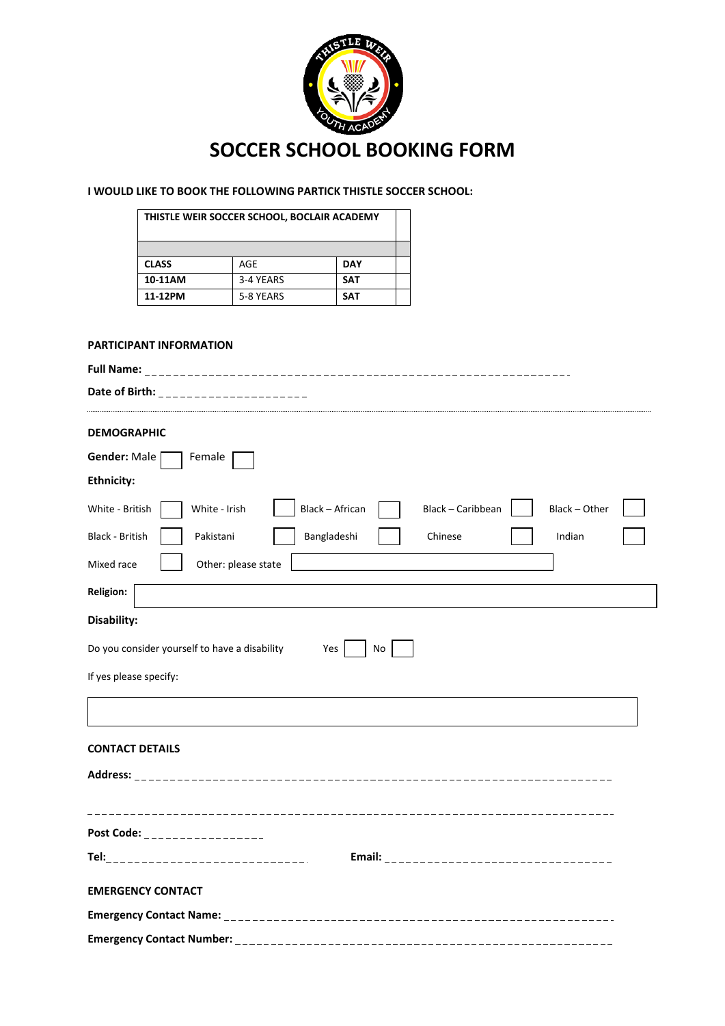

# **I WOULD LIKE TO BOOK THE FOLLOWING PARTICK THISTLE SOCCER SCHOOL:**

| THISTLE WEIR SOCCER SCHOOL, BOCLAIR ACADEMY |           |            |  |  |  |
|---------------------------------------------|-----------|------------|--|--|--|
|                                             |           |            |  |  |  |
| <b>CLASS</b>                                | AGE       | <b>DAY</b> |  |  |  |
| 10-11AM                                     | 3-4 YEARS | <b>SAT</b> |  |  |  |
| 11-12PM                                     | 5-8 YEARS | <b>SAT</b> |  |  |  |

## **PARTICIPANT INFORMATION**

| Date of Birth: _______________________                                                    |
|-------------------------------------------------------------------------------------------|
| <b>DEMOGRAPHIC</b>                                                                        |
| Gender: Male<br>Female                                                                    |
| <b>Ethnicity:</b>                                                                         |
| Black - African<br>Black - Caribbean<br>Black - Other<br>White - British<br>White - Irish |
| <b>Black - British</b><br>Pakistani<br>Bangladeshi<br>Indian<br>Chinese                   |
| Other: please state<br>Mixed race                                                         |
| <b>Religion:</b>                                                                          |
| Disability:                                                                               |
| Do you consider yourself to have a disability<br>Yes<br>No                                |
| If yes please specify:                                                                    |
|                                                                                           |
| <b>CONTACT DETAILS</b>                                                                    |
|                                                                                           |
|                                                                                           |
| _____________________________________<br>Post Code: _ _ _ _ _ _ _ _ _ _ _ _ _ _ _ _ _     |
| Tel:_________________________________                                                     |
| <b>EMERGENCY CONTACT</b>                                                                  |
|                                                                                           |
|                                                                                           |